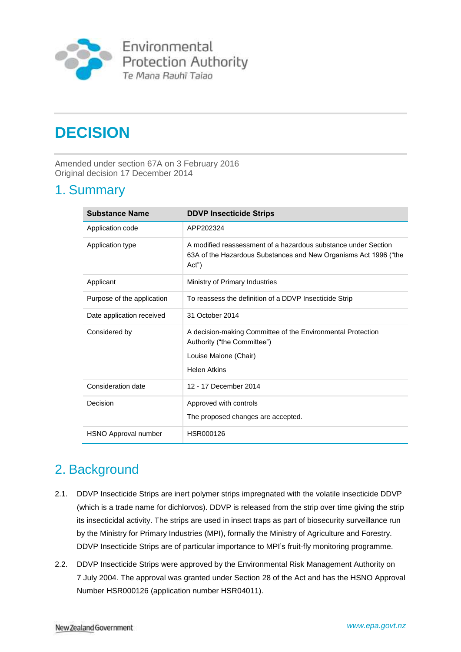

# **DECISION**

Amended under section 67A on 3 February 2016 Original decision 17 December 2014

## 1. Summary

| <b>Substance Name</b>      | <b>DDVP Insecticide Strips</b>                                                                                                              |
|----------------------------|---------------------------------------------------------------------------------------------------------------------------------------------|
| Application code           | APP202324                                                                                                                                   |
| Application type           | A modified reassessment of a hazardous substance under Section<br>63A of the Hazardous Substances and New Organisms Act 1996 ("the<br>Act") |
| Applicant                  | Ministry of Primary Industries                                                                                                              |
| Purpose of the application | To reassess the definition of a DDVP Insecticide Strip                                                                                      |
| Date application received  | 31 October 2014                                                                                                                             |
| Considered by              | A decision-making Committee of the Environmental Protection<br>Authority ("the Committee")<br>Louise Malone (Chair)<br><b>Helen Atkins</b>  |
| Consideration date         | 12 - 17 December 2014                                                                                                                       |
| Decision                   | Approved with controls<br>The proposed changes are accepted.                                                                                |
| HSNO Approval number       | HSR000126                                                                                                                                   |

# 2. Background

- 2.1. DDVP Insecticide Strips are inert polymer strips impregnated with the volatile insecticide DDVP (which is a trade name for dichlorvos). DDVP is released from the strip over time giving the strip its insecticidal activity. The strips are used in insect traps as part of biosecurity surveillance run by the Ministry for Primary Industries (MPI), formally the Ministry of Agriculture and Forestry. DDVP Insecticide Strips are of particular importance to MPI's fruit-fly monitoring programme.
- 2.2. DDVP Insecticide Strips were approved by the Environmental Risk Management Authority on 7 July 2004. The approval was granted under Section 28 of the Act and has the HSNO Approval Number HSR000126 (application number HSR04011).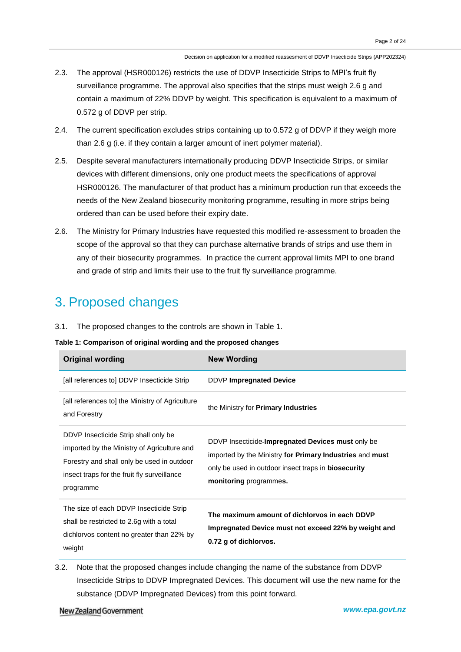- 2.3. The approval (HSR000126) restricts the use of DDVP Insecticide Strips to MPI's fruit fly surveillance programme. The approval also specifies that the strips must weigh 2.6 g and contain a maximum of 22% DDVP by weight. This specification is equivalent to a maximum of 0.572 g of DDVP per strip.
- 2.4. The current specification excludes strips containing up to 0.572 g of DDVP if they weigh more than 2.6 g (i.e. if they contain a larger amount of inert polymer material).
- 2.5. Despite several manufacturers internationally producing DDVP Insecticide Strips, or similar devices with different dimensions, only one product meets the specifications of approval HSR000126. The manufacturer of that product has a minimum production run that exceeds the needs of the New Zealand biosecurity monitoring programme, resulting in more strips being ordered than can be used before their expiry date.
- 2.6. The Ministry for Primary Industries have requested this modified re-assessment to broaden the scope of the approval so that they can purchase alternative brands of strips and use them in any of their biosecurity programmes. In practice the current approval limits MPI to one brand and grade of strip and limits their use to the fruit fly surveillance programme.

## 3. Proposed changes

3.1. The proposed changes to the controls are shown in Table 1.

**Table 1: Comparison of original wording and the proposed changes**

| <b>Original wording</b>                                                                                                                                                                       | <b>New Wording</b>                                                                                                                                                                                    |
|-----------------------------------------------------------------------------------------------------------------------------------------------------------------------------------------------|-------------------------------------------------------------------------------------------------------------------------------------------------------------------------------------------------------|
| [all references to] DDVP Insecticide Strip                                                                                                                                                    | <b>DDVP Impregnated Device</b>                                                                                                                                                                        |
| [all references to] the Ministry of Agriculture<br>and Forestry                                                                                                                               | the Ministry for <b>Primary Industries</b>                                                                                                                                                            |
| DDVP Insecticide Strip shall only be<br>imported by the Ministry of Agriculture and<br>Forestry and shall only be used in outdoor<br>insect traps for the fruit fly surveillance<br>programme | DDVP Insecticide-Impregnated Devices must only be<br>imported by the Ministry for Primary Industries and must<br>only be used in outdoor insect traps in <b>biosecurity</b><br>monitoring programmes. |
| The size of each DDVP Insecticide Strip<br>shall be restricted to 2.6g with a total<br>dichlorvos content no greater than 22% by<br>weight                                                    | The maximum amount of dichlorvos in each DDVP<br>Impregnated Device must not exceed 22% by weight and<br>0.72 g of dichlorvos.                                                                        |

3.2. Note that the proposed changes include changing the name of the substance from DDVP Insecticide Strips to DDVP Impregnated Devices. This document will use the new name for the substance (DDVP Impregnated Devices) from this point forward.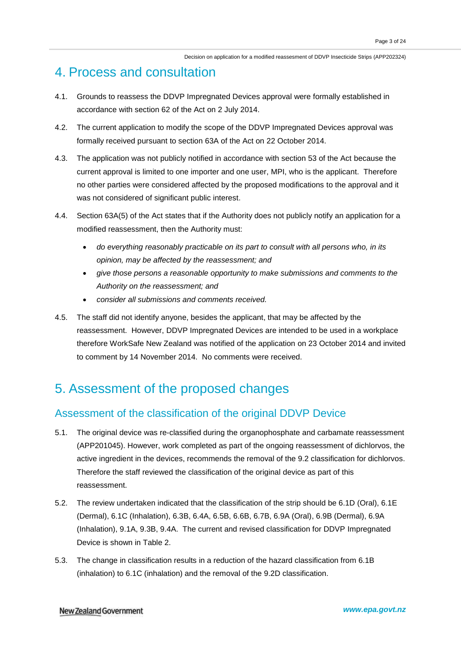## 4. Process and consultation

- 4.1. Grounds to reassess the DDVP Impregnated Devices approval were formally established in accordance with section 62 of the Act on 2 July 2014.
- 4.2. The current application to modify the scope of the DDVP Impregnated Devices approval was formally received pursuant to section 63A of the Act on 22 October 2014.
- 4.3. The application was not publicly notified in accordance with section 53 of the Act because the current approval is limited to one importer and one user, MPI, who is the applicant. Therefore no other parties were considered affected by the proposed modifications to the approval and it was not considered of significant public interest.
- 4.4. Section 63A(5) of the Act states that if the Authority does not publicly notify an application for a modified reassessment, then the Authority must:
	- *do everything reasonably practicable on its part to consult with all persons who, in its opinion, may be affected by the reassessment; and*
	- *give those persons a reasonable opportunity to make submissions and comments to the Authority on the reassessment; and*
	- *consider all submissions and comments received.*
- 4.5. The staff did not identify anyone, besides the applicant, that may be affected by the reassessment. However, DDVP Impregnated Devices are intended to be used in a workplace therefore WorkSafe New Zealand was notified of the application on 23 October 2014 and invited to comment by 14 November 2014. No comments were received.

# 5. Assessment of the proposed changes

## Assessment of the classification of the original DDVP Device

- 5.1. The original device was re-classified during the organophosphate and carbamate reassessment (APP201045). However, work completed as part of the ongoing reassessment of dichlorvos, the active ingredient in the devices, recommends the removal of the 9.2 classification for dichlorvos. Therefore the staff reviewed the classification of the original device as part of this reassessment.
- 5.2. The review undertaken indicated that the classification of the strip should be 6.1D (Oral), 6.1E (Dermal), 6.1C (Inhalation), 6.3B, 6.4A, 6.5B, 6.6B, 6.7B, 6.9A (Oral), 6.9B (Dermal), 6.9A (Inhalation), 9.1A, 9.3B, 9.4A. The current and revised classification for DDVP Impregnated Device is shown in Table 2.
- 5.3. The change in classification results in a reduction of the hazard classification from 6.1B (inhalation) to 6.1C (inhalation) and the removal of the 9.2D classification.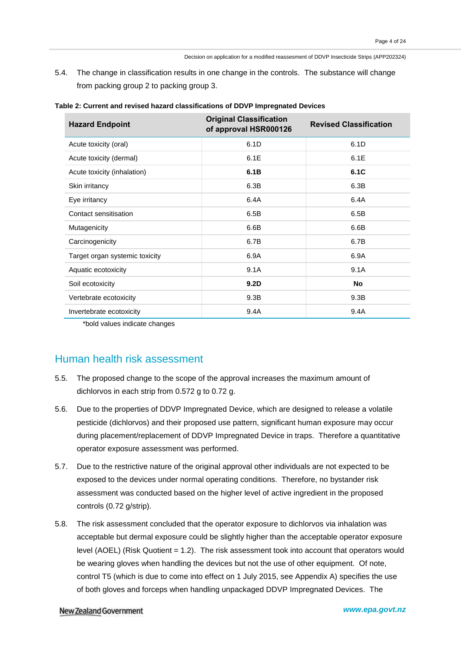5.4. The change in classification results in one change in the controls. The substance will change from packing group 2 to packing group 3.

| <b>Hazard Endpoint</b>         | <b>Original Classification</b><br>of approval HSR000126 | <b>Revised Classification</b> |
|--------------------------------|---------------------------------------------------------|-------------------------------|
| Acute toxicity (oral)          | 6.1D                                                    | 6.1D                          |
| Acute toxicity (dermal)        | 6.1E                                                    | 6.1E                          |
| Acute toxicity (inhalation)    | 6.1B                                                    | 6.1C                          |
| Skin irritancy                 | 6.3B                                                    | 6.3B                          |
| Eye irritancy                  | 6.4A                                                    | 6.4A                          |
| Contact sensitisation          | 6.5B                                                    | 6.5B                          |
| Mutagenicity                   | 6.6B                                                    | 6.6B                          |
| Carcinogenicity                | 6.7B                                                    | 6.7B                          |
| Target organ systemic toxicity | 6.9A                                                    | 6.9A                          |
| Aquatic ecotoxicity            | 9.1A                                                    | 9.1A                          |
| Soil ecotoxicity               | 9.2 <sub>D</sub>                                        | No                            |
| Vertebrate ecotoxicity         | 9.3B                                                    | 9.3B                          |
| Invertebrate ecotoxicity       | 9.4A                                                    | 9.4A                          |

| Table 2: Current and revised hazard classifications of DDVP Impregnated Devices |  |  |  |
|---------------------------------------------------------------------------------|--|--|--|
|---------------------------------------------------------------------------------|--|--|--|

\*bold values indicate changes

### Human health risk assessment

- 5.5. The proposed change to the scope of the approval increases the maximum amount of dichlorvos in each strip from 0.572 g to 0.72 g.
- 5.6. Due to the properties of DDVP Impregnated Device, which are designed to release a volatile pesticide (dichlorvos) and their proposed use pattern, significant human exposure may occur during placement/replacement of DDVP Impregnated Device in traps. Therefore a quantitative operator exposure assessment was performed.
- 5.7. Due to the restrictive nature of the original approval other individuals are not expected to be exposed to the devices under normal operating conditions. Therefore, no bystander risk assessment was conducted based on the higher level of active ingredient in the proposed controls (0.72 g/strip).
- 5.8. The risk assessment concluded that the operator exposure to dichlorvos via inhalation was acceptable but dermal exposure could be slightly higher than the acceptable operator exposure level (AOEL) (Risk Quotient = 1.2). The risk assessment took into account that operators would be wearing gloves when handling the devices but not the use of other equipment. Of note, control T5 (which is due to come into effect on 1 July 2015, see Appendix A) specifies the use of both gloves and forceps when handling unpackaged DDVP Impregnated Devices. The

#### New Zealand Government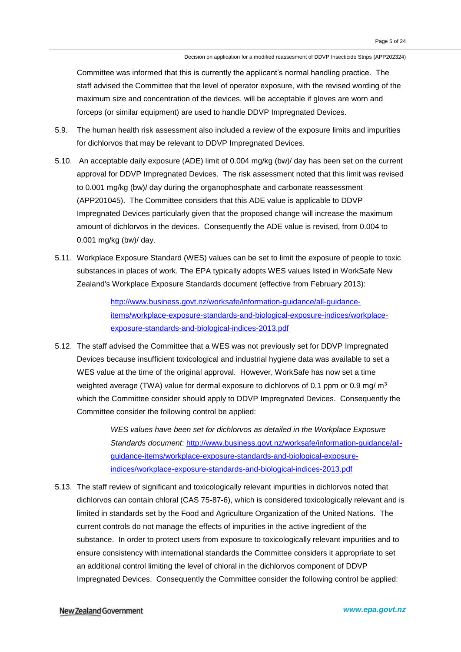Committee was informed that this is currently the applicant's normal handling practice. The staff advised the Committee that the level of operator exposure, with the revised wording of the maximum size and concentration of the devices, will be acceptable if gloves are worn and forceps (or similar equipment) are used to handle DDVP Impregnated Devices.

- 5.9. The human health risk assessment also included a review of the exposure limits and impurities for dichlorvos that may be relevant to DDVP Impregnated Devices.
- 5.10. An acceptable daily exposure (ADE) limit of 0.004 mg/kg (bw)/ day has been set on the current approval for DDVP Impregnated Devices. The risk assessment noted that this limit was revised to 0.001 mg/kg (bw)/ day during the organophosphate and carbonate reassessment (APP201045). The Committee considers that this ADE value is applicable to DDVP Impregnated Devices particularly given that the proposed change will increase the maximum amount of dichlorvos in the devices. Consequently the ADE value is revised, from 0.004 to 0.001 mg/kg (bw)/ day.
- 5.11. Workplace Exposure Standard (WES) values can be set to limit the exposure of people to toxic substances in places of work. The EPA typically adopts WES values listed in WorkSafe New Zealand's Workplace Exposure Standards document (effective from February 2013):

[http://www.business.govt.nz/worksafe/information-guidance/all-guidance](http://www.business.govt.nz/worksafe/information-guidance/all-guidance-items/workplace-exposure-standards-and-biological-exposure-indices/workplace-exposure-standards-and-biological-indices-2013.pdf)[items/workplace-exposure-standards-and-biological-exposure-indices/workplace](http://www.business.govt.nz/worksafe/information-guidance/all-guidance-items/workplace-exposure-standards-and-biological-exposure-indices/workplace-exposure-standards-and-biological-indices-2013.pdf)[exposure-standards-and-biological-indices-2013.pdf](http://www.business.govt.nz/worksafe/information-guidance/all-guidance-items/workplace-exposure-standards-and-biological-exposure-indices/workplace-exposure-standards-and-biological-indices-2013.pdf)

5.12. The staff advised the Committee that a WES was not previously set for DDVP Impregnated Devices because insufficient toxicological and industrial hygiene data was available to set a WES value at the time of the original approval. However, WorkSafe has now set a time weighted average (TWA) value for dermal exposure to dichlorvos of 0.1 ppm or 0.9 mg/ $m<sup>3</sup>$ which the Committee consider should apply to DDVP Impregnated Devices. Consequently the Committee consider the following control be applied:

> *WES values have been set for dichlorvos as detailed in the Workplace Exposure Standards document*: [http://www.business.govt.nz/worksafe/information-guidance/all](http://www.business.govt.nz/worksafe/information-guidance/all-guidance-items/workplace-exposure-standards-and-biological-exposure-indices/workplace-exposure-standards-and-biological-indices-2013.pdf)[guidance-items/workplace-exposure-standards-and-biological-exposure](http://www.business.govt.nz/worksafe/information-guidance/all-guidance-items/workplace-exposure-standards-and-biological-exposure-indices/workplace-exposure-standards-and-biological-indices-2013.pdf)[indices/workplace-exposure-standards-and-biological-indices-2013.pdf](http://www.business.govt.nz/worksafe/information-guidance/all-guidance-items/workplace-exposure-standards-and-biological-exposure-indices/workplace-exposure-standards-and-biological-indices-2013.pdf)

5.13. The staff review of significant and toxicologically relevant impurities in dichlorvos noted that dichlorvos can contain chloral (CAS 75-87-6), which is considered toxicologically relevant and is limited in standards set by the Food and Agriculture Organization of the United Nations. The current controls do not manage the effects of impurities in the active ingredient of the substance. In order to protect users from exposure to toxicologically relevant impurities and to ensure consistency with international standards the Committee considers it appropriate to set an additional control limiting the level of chloral in the dichlorvos component of DDVP Impregnated Devices. Consequently the Committee consider the following control be applied: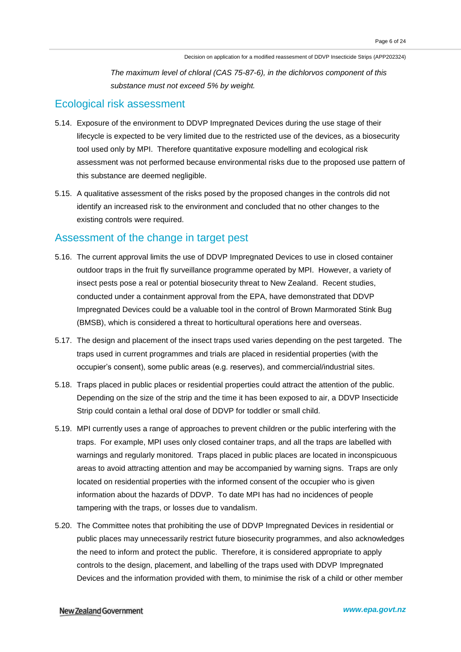*The maximum level of chloral (CAS 75-87-6), in the dichlorvos component of this substance must not exceed 5% by weight.* 

### Ecological risk assessment

- 5.14. Exposure of the environment to DDVP Impregnated Devices during the use stage of their lifecycle is expected to be very limited due to the restricted use of the devices, as a biosecurity tool used only by MPI. Therefore quantitative exposure modelling and ecological risk assessment was not performed because environmental risks due to the proposed use pattern of this substance are deemed negligible.
- 5.15. A qualitative assessment of the risks posed by the proposed changes in the controls did not identify an increased risk to the environment and concluded that no other changes to the existing controls were required.

## Assessment of the change in target pest

- 5.16. The current approval limits the use of DDVP Impregnated Devices to use in closed container outdoor traps in the fruit fly surveillance programme operated by MPI. However, a variety of insect pests pose a real or potential biosecurity threat to New Zealand. Recent studies, conducted under a containment approval from the EPA, have demonstrated that DDVP Impregnated Devices could be a valuable tool in the control of Brown Marmorated Stink Bug (BMSB), which is considered a threat to horticultural operations here and overseas.
- 5.17. The design and placement of the insect traps used varies depending on the pest targeted. The traps used in current programmes and trials are placed in residential properties (with the occupier's consent), some public areas (e.g. reserves), and commercial/industrial sites.
- 5.18. Traps placed in public places or residential properties could attract the attention of the public. Depending on the size of the strip and the time it has been exposed to air, a DDVP Insecticide Strip could contain a lethal oral dose of DDVP for toddler or small child.
- 5.19. MPI currently uses a range of approaches to prevent children or the public interfering with the traps. For example, MPI uses only closed container traps, and all the traps are labelled with warnings and regularly monitored. Traps placed in public places are located in inconspicuous areas to avoid attracting attention and may be accompanied by warning signs. Traps are only located on residential properties with the informed consent of the occupier who is given information about the hazards of DDVP. To date MPI has had no incidences of people tampering with the traps, or losses due to vandalism.
- 5.20. The Committee notes that prohibiting the use of DDVP Impregnated Devices in residential or public places may unnecessarily restrict future biosecurity programmes, and also acknowledges the need to inform and protect the public. Therefore, it is considered appropriate to apply controls to the design, placement, and labelling of the traps used with DDVP Impregnated Devices and the information provided with them, to minimise the risk of a child or other member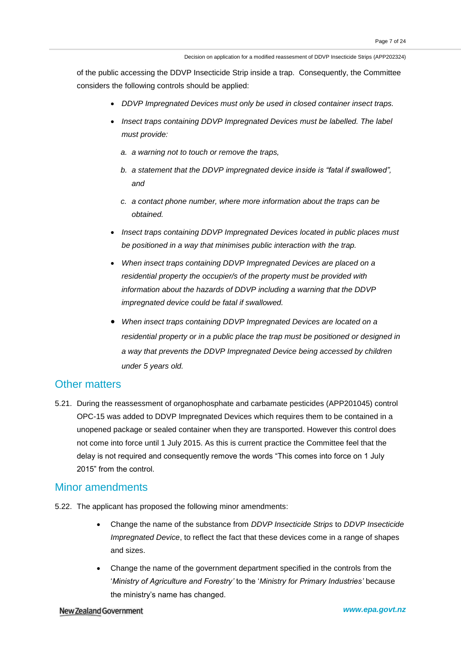of the public accessing the DDVP Insecticide Strip inside a trap. Consequently, the Committee considers the following controls should be applied:

- *DDVP Impregnated Devices must only be used in closed container insect traps.*
- *Insect traps containing DDVP Impregnated Devices must be labelled. The label must provide:* 
	- *a. a warning not to touch or remove the traps,*
	- *b. a statement that the DDVP impregnated device inside is "fatal if swallowed", and*
	- *c. a contact phone number, where more information about the traps can be obtained.*
- *Insect traps containing DDVP Impregnated Devices located in public places must be positioned in a way that minimises public interaction with the trap.*
- *When insect traps containing DDVP Impregnated Devices are placed on a residential property the occupier/s of the property must be provided with information about the hazards of DDVP including a warning that the DDVP impregnated device could be fatal if swallowed.*
- *When insect traps containing DDVP Impregnated Devices are located on a residential property or in a public place the trap must be positioned or designed in a way that prevents the DDVP Impregnated Device being accessed by children under 5 years old.*

### Other matters

5.21. During the reassessment of organophosphate and carbamate pesticides (APP201045) control OPC-15 was added to DDVP Impregnated Devices which requires them to be contained in a unopened package or sealed container when they are transported. However this control does not come into force until 1 July 2015. As this is current practice the Committee feel that the delay is not required and consequently remove the words "This comes into force on 1 July 2015" from the control.

### Minor amendments

- 5.22. The applicant has proposed the following minor amendments:
	- Change the name of the substance from *DDVP Insecticide Strips* to *DDVP Insecticide Impregnated Device*, to reflect the fact that these devices come in a range of shapes and sizes.
	- Change the name of the government department specified in the controls from the '*Ministry of Agriculture and Forestry'* to the '*Ministry for Primary Industries'* because the ministry's name has changed.

#### New Zealand Government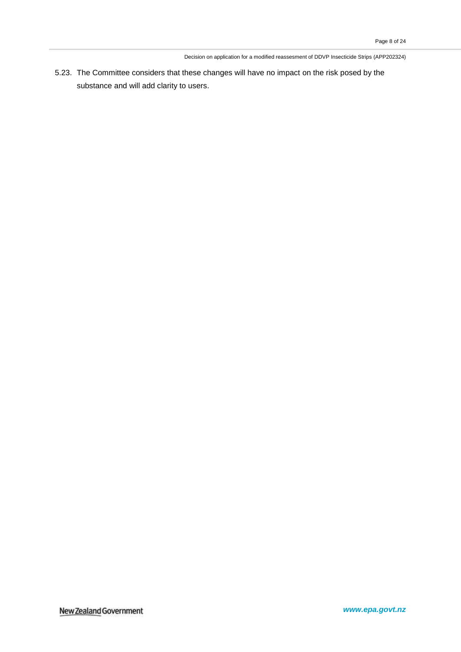5.23. The Committee considers that these changes will have no impact on the risk posed by the substance and will add clarity to users.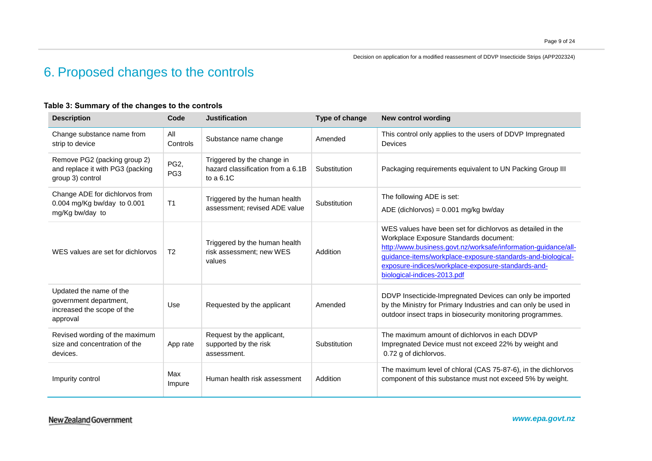# 6. Proposed changes to the controls

### **Table 3: Summary of the changes to the controls**

| <b>Description</b>                                                                          | Code                               | <b>Justification</b>                                                           | Type of change | <b>New control wording</b>                                                                                                                                                                                                                                                                                                 |  |
|---------------------------------------------------------------------------------------------|------------------------------------|--------------------------------------------------------------------------------|----------------|----------------------------------------------------------------------------------------------------------------------------------------------------------------------------------------------------------------------------------------------------------------------------------------------------------------------------|--|
| Change substance name from<br>strip to device                                               | All<br>Controls                    | Substance name change                                                          | Amended        | This control only applies to the users of DDVP Impregnated<br><b>Devices</b>                                                                                                                                                                                                                                               |  |
| Remove PG2 (packing group 2)<br>and replace it with PG3 (packing<br>group 3) control        | PG <sub>2</sub><br>PG <sub>3</sub> | Triggered by the change in<br>hazard classification from a 6.1B<br>to a $6.1C$ | Substitution   | Packaging requirements equivalent to UN Packing Group III                                                                                                                                                                                                                                                                  |  |
| Change ADE for dichlorvos from<br>0.004 mg/Kg bw/day to 0.001<br>mg/Kg bw/day to            | T <sub>1</sub>                     | Triggered by the human health<br>assessment: revised ADE value                 | Substitution   | The following ADE is set:<br>ADE (dichlorvos) = $0.001$ mg/kg bw/day                                                                                                                                                                                                                                                       |  |
| WES values are set for dichlorvos                                                           | T <sub>2</sub>                     | Triggered by the human health<br>risk assessment; new WES<br>values            | Addition       | WES values have been set for dichlorvos as detailed in the<br>Workplace Exposure Standards document:<br>http://www.business.govt.nz/worksafe/information-guidance/all-<br>guidance-items/workplace-exposure-standards-and-biological-<br>exposure-indices/workplace-exposure-standards-and-<br>biological-indices-2013.pdf |  |
| Updated the name of the<br>government department,<br>increased the scope of the<br>approval | Use                                | Requested by the applicant                                                     | Amended        | DDVP Insecticide-Impregnated Devices can only be imported<br>by the Ministry for Primary Industries and can only be used in<br>outdoor insect traps in biosecurity monitoring programmes.                                                                                                                                  |  |
| Revised wording of the maximum<br>size and concentration of the<br>devices.                 | App rate                           | Request by the applicant,<br>supported by the risk<br>assessment.              | Substitution   | The maximum amount of dichlorvos in each DDVP<br>Impregnated Device must not exceed 22% by weight and<br>0.72 g of dichlorvos.                                                                                                                                                                                             |  |
| Impurity control                                                                            | Max<br>Impure                      | Human health risk assessment                                                   | Addition       | The maximum level of chloral (CAS 75-87-6), in the dichlorvos<br>component of this substance must not exceed 5% by weight.                                                                                                                                                                                                 |  |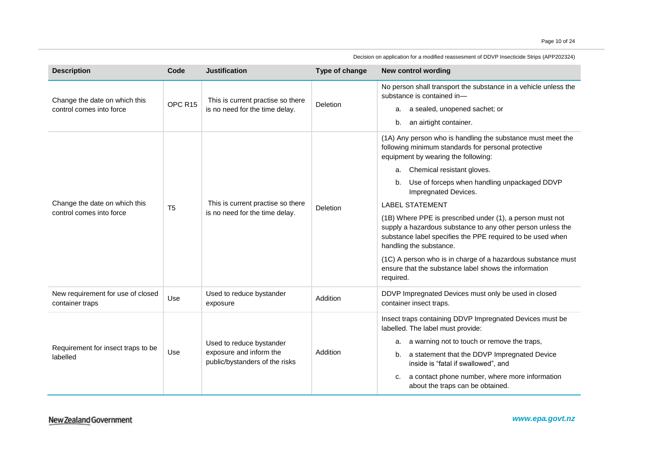| <b>Description</b>                                        | Code           | <b>Justification</b>                                                                  | Type of change | <b>New control wording</b>                                                                                                                                                                                                                                                                                                                                                                                                                                                                                                                                                                                                                                       |
|-----------------------------------------------------------|----------------|---------------------------------------------------------------------------------------|----------------|------------------------------------------------------------------------------------------------------------------------------------------------------------------------------------------------------------------------------------------------------------------------------------------------------------------------------------------------------------------------------------------------------------------------------------------------------------------------------------------------------------------------------------------------------------------------------------------------------------------------------------------------------------------|
| Change the date on which this<br>control comes into force | OPC R15        | This is current practise so there<br>is no need for the time delay.                   | Deletion       | No person shall transport the substance in a vehicle unless the<br>substance is contained in-<br>a. a sealed, unopened sachet; or<br>an airtight container.<br>b.                                                                                                                                                                                                                                                                                                                                                                                                                                                                                                |
| Change the date on which this<br>control comes into force | T <sub>5</sub> | This is current practise so there<br>is no need for the time delay.                   | Deletion       | (1A) Any person who is handling the substance must meet the<br>following minimum standards for personal protective<br>equipment by wearing the following:<br>Chemical resistant gloves.<br>а.<br>Use of forceps when handling unpackaged DDVP<br>b.<br>Impregnated Devices.<br><b>LABEL STATEMENT</b><br>(1B) Where PPE is prescribed under (1), a person must not<br>supply a hazardous substance to any other person unless the<br>substance label specifies the PPE required to be used when<br>handling the substance.<br>(1C) A person who is in charge of a hazardous substance must<br>ensure that the substance label shows the information<br>required. |
| New requirement for use of closed<br>container traps      | Use            | Used to reduce bystander<br>exposure                                                  | Addition       | DDVP Impregnated Devices must only be used in closed<br>container insect traps.                                                                                                                                                                                                                                                                                                                                                                                                                                                                                                                                                                                  |
| Requirement for insect traps to be<br>labelled            | Use            | Used to reduce bystander<br>exposure and inform the<br>public/bystanders of the risks | Addition       | Insect traps containing DDVP Impregnated Devices must be<br>labelled. The label must provide:<br>a warning not to touch or remove the traps,<br>а.<br>a statement that the DDVP Impregnated Device<br>b.<br>inside is "fatal if swallowed", and<br>a contact phone number, where more information<br>c.<br>about the traps can be obtained.                                                                                                                                                                                                                                                                                                                      |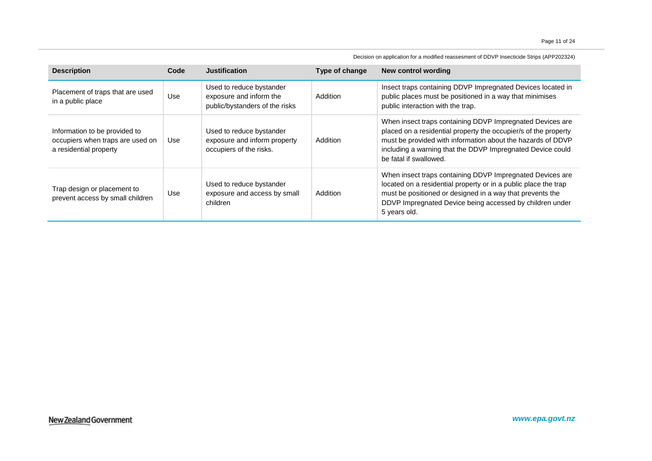| <b>Description</b>                                                                          | Code | <b>Justification</b>                                                                  | Type of change | New control wording                                                                                                                                                                                                                                                                 |
|---------------------------------------------------------------------------------------------|------|---------------------------------------------------------------------------------------|----------------|-------------------------------------------------------------------------------------------------------------------------------------------------------------------------------------------------------------------------------------------------------------------------------------|
| Placement of traps that are used<br>in a public place                                       | Use  | Used to reduce bystander<br>exposure and inform the<br>public/bystanders of the risks | Addition       | Insect traps containing DDVP Impregnated Devices located in<br>public places must be positioned in a way that minimises<br>public interaction with the trap.                                                                                                                        |
| Information to be provided to<br>occupiers when traps are used on<br>a residential property | Use  | Used to reduce bystander<br>exposure and inform property<br>occupiers of the risks.   | Addition       | When insect traps containing DDVP Impregnated Devices are<br>placed on a residential property the occupier/s of the property<br>must be provided with information about the hazards of DDVP<br>including a warning that the DDVP Impregnated Device could<br>be fatal if swallowed. |
| Trap design or placement to<br>prevent access by small children                             | Use  | Used to reduce bystander<br>exposure and access by small<br>children                  | Addition       | When insect traps containing DDVP Impregnated Devices are<br>located on a residential property or in a public place the trap<br>must be positioned or designed in a way that prevents the<br>DDVP Impregnated Device being accessed by children under<br>5 years old.               |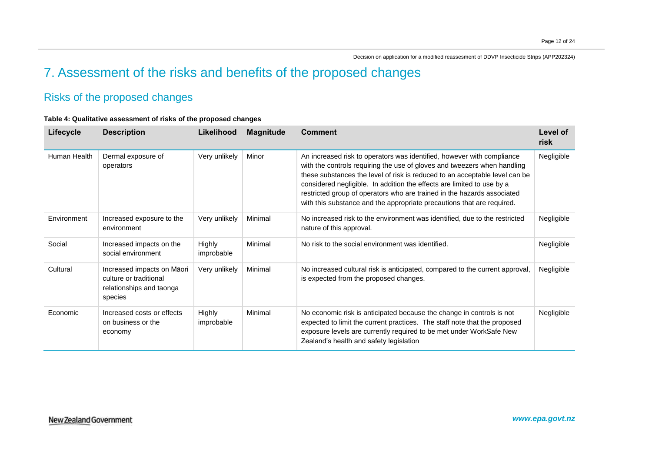# 7. Assessment of the risks and benefits of the proposed changes

## Risks of the proposed changes

### **Table 4: Qualitative assessment of risks of the proposed changes**

| <b>Lifecycle</b> | <b>Description</b>                                                                          | Likelihood           | <b>Magnitude</b> | <b>Comment</b>                                                                                                                                                                                                                                                                                                                                                                                                                                                   | Level of<br>risk |
|------------------|---------------------------------------------------------------------------------------------|----------------------|------------------|------------------------------------------------------------------------------------------------------------------------------------------------------------------------------------------------------------------------------------------------------------------------------------------------------------------------------------------------------------------------------------------------------------------------------------------------------------------|------------------|
| Human Health     | Dermal exposure of<br>operators                                                             | Very unlikely        | Minor            | An increased risk to operators was identified, however with compliance<br>with the controls requiring the use of gloves and tweezers when handling<br>these substances the level of risk is reduced to an acceptable level can be<br>considered negligible. In addition the effects are limited to use by a<br>restricted group of operators who are trained in the hazards associated<br>with this substance and the appropriate precautions that are required. | Negligible       |
| Environment      | Increased exposure to the<br>environment                                                    | Very unlikely        | Minimal          | No increased risk to the environment was identified, due to the restricted<br>nature of this approval.                                                                                                                                                                                                                                                                                                                                                           | Negligible       |
| Social           | Increased impacts on the<br>social environment                                              | Highly<br>improbable | Minimal          | No risk to the social environment was identified.                                                                                                                                                                                                                                                                                                                                                                                                                | Negligible       |
| Cultural         | Increased impacts on Māori<br>culture or traditional<br>relationships and taonga<br>species | Very unlikely        | Minimal          | No increased cultural risk is anticipated, compared to the current approval,<br>is expected from the proposed changes.                                                                                                                                                                                                                                                                                                                                           | Negligible       |
| Economic         | Increased costs or effects<br>on business or the<br>economy                                 | Highly<br>improbable | Minimal          | No economic risk is anticipated because the change in controls is not<br>expected to limit the current practices. The staff note that the proposed<br>exposure levels are currently required to be met under WorkSafe New<br>Zealand's health and safety legislation                                                                                                                                                                                             | Negligible       |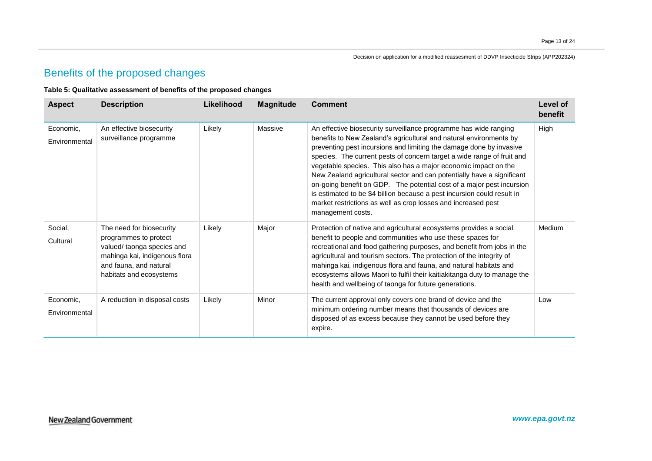## Benefits of the proposed changes

#### **Table 5: Qualitative assessment of benefits of the proposed changes**

| <b>Aspect</b>              | <b>Description</b>                                                                                                                                                    | Likelihood | <b>Magnitude</b> | <b>Comment</b>                                                                                                                                                                                                                                                                                                                                                                                                                                                                                                                                                                                                                                                                 | Level of<br>benefit |
|----------------------------|-----------------------------------------------------------------------------------------------------------------------------------------------------------------------|------------|------------------|--------------------------------------------------------------------------------------------------------------------------------------------------------------------------------------------------------------------------------------------------------------------------------------------------------------------------------------------------------------------------------------------------------------------------------------------------------------------------------------------------------------------------------------------------------------------------------------------------------------------------------------------------------------------------------|---------------------|
| Economic,<br>Environmental | An effective biosecurity<br>surveillance programme                                                                                                                    | Likely     | Massive          | An effective biosecurity surveillance programme has wide ranging<br>benefits to New Zealand's agricultural and natural environments by<br>preventing pest incursions and limiting the damage done by invasive<br>species. The current pests of concern target a wide range of fruit and<br>vegetable species. This also has a major economic impact on the<br>New Zealand agricultural sector and can potentially have a significant<br>on-going benefit on GDP. The potential cost of a major pest incursion<br>is estimated to be \$4 billion because a pest incursion could result in<br>market restrictions as well as crop losses and increased pest<br>management costs. | High                |
| Social,<br>Cultural        | The need for biosecurity<br>programmes to protect<br>valued/ taonga species and<br>mahinga kai, indigenous flora<br>and fauna, and natural<br>habitats and ecosystems | Likely     | Major            | Protection of native and agricultural ecosystems provides a social<br>benefit to people and communities who use these spaces for<br>recreational and food gathering purposes, and benefit from jobs in the<br>agricultural and tourism sectors. The protection of the integrity of<br>mahinga kai, indigenous flora and fauna, and natural habitats and<br>ecosystems allows Maori to fulfil their kaitiakitanga duty to manage the<br>health and wellbeing of taonga for future generations.                                                                                                                                                                                  | Medium              |
| Economic,<br>Environmental | A reduction in disposal costs                                                                                                                                         | Likely     | Minor            | The current approval only covers one brand of device and the<br>minimum ordering number means that thousands of devices are<br>disposed of as excess because they cannot be used before they<br>expire.                                                                                                                                                                                                                                                                                                                                                                                                                                                                        | Low                 |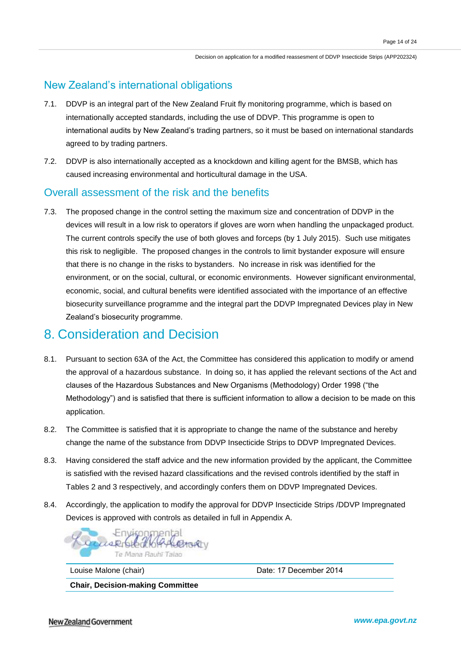## New Zealand's international obligations

- 7.1. DDVP is an integral part of the New Zealand Fruit fly monitoring programme, which is based on internationally accepted standards, including the use of DDVP. This programme is open to international audits by New Zealand's trading partners, so it must be based on international standards agreed to by trading partners.
- 7.2. DDVP is also internationally accepted as a knockdown and killing agent for the BMSB, which has caused increasing environmental and horticultural damage in the USA.

## Overall assessment of the risk and the benefits

7.3. The proposed change in the control setting the maximum size and concentration of DDVP in the devices will result in a low risk to operators if gloves are worn when handling the unpackaged product. The current controls specify the use of both gloves and forceps (by 1 July 2015). Such use mitigates this risk to negligible. The proposed changes in the controls to limit bystander exposure will ensure that there is no change in the risks to bystanders. No increase in risk was identified for the environment, or on the social, cultural, or economic environments. However significant environmental, economic, social, and cultural benefits were identified associated with the importance of an effective biosecurity surveillance programme and the integral part the DDVP Impregnated Devices play in New Zealand's biosecurity programme.

## 8. Consideration and Decision

- 8.1. Pursuant to section 63A of the Act, the Committee has considered this application to modify or amend the approval of a hazardous substance. In doing so, it has applied the relevant sections of the Act and clauses of the Hazardous Substances and New Organisms (Methodology) Order 1998 ("the Methodology") and is satisfied that there is sufficient information to allow a decision to be made on this application.
- 8.2. The Committee is satisfied that it is appropriate to change the name of the substance and hereby change the name of the substance from DDVP Insecticide Strips to DDVP Impregnated Devices.
- 8.3. Having considered the staff advice and the new information provided by the applicant, the Committee is satisfied with the revised hazard classifications and the revised controls identified by the staff in Tables 2 and 3 respectively, and accordingly confers them on DDVP Impregnated Devices.
- 8.4. Accordingly, the application to modify the approval for DDVP Insecticide Strips /DDVP Impregnated Devices is approved with controls as detailed in full in Appendix A.



Louise Malone (chair) Date: 17 December 2014

**Chair, Decision-making Committee**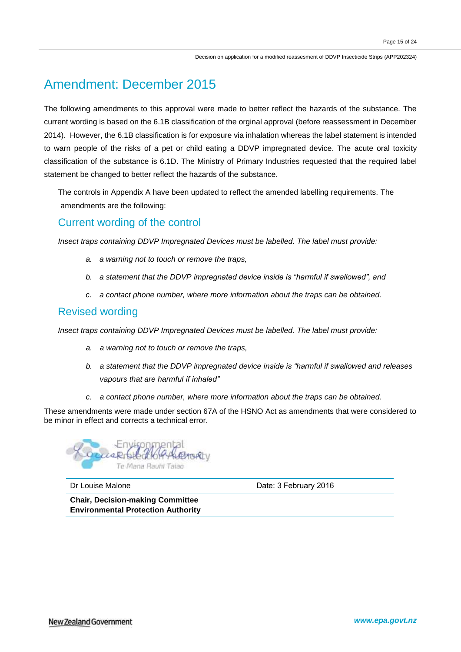# Amendment: December 2015

The following amendments to this approval were made to better reflect the hazards of the substance. The current wording is based on the 6.1B classification of the orginal approval (before reassessment in December 2014). However, the 6.1B classification is for exposure via inhalation whereas the label statement is intended to warn people of the risks of a pet or child eating a DDVP impregnated device. The acute oral toxicity classification of the substance is 6.1D. The Ministry of Primary Industries requested that the required label statement be changed to better reflect the hazards of the substance.

The controls in Appendix A have been updated to reflect the amended labelling requirements. The amendments are the following:

### Current wording of the control

*Insect traps containing DDVP Impregnated Devices must be labelled. The label must provide:* 

- *a. a warning not to touch or remove the traps,*
- *b. a statement that the DDVP impregnated device inside is "harmful if swallowed", and*
- *c. a contact phone number, where more information about the traps can be obtained.*

### Revised wording

*Insect traps containing DDVP Impregnated Devices must be labelled. The label must provide:* 

- *a. a warning not to touch or remove the traps,*
- *b. a statement that the DDVP impregnated device inside is "harmful if swallowed and releases vapours that are harmful if inhaled"*
- *c. a contact phone number, where more information about the traps can be obtained.*

These amendments were made under section 67A of the HSNO Act as amendments that were considered to be minor in effect and corrects a technical error.



Dr Louise Malone **Dr Louise Malone** Date: 3 February 2016

**Chair, Decision-making Committee Environmental Protection Authority**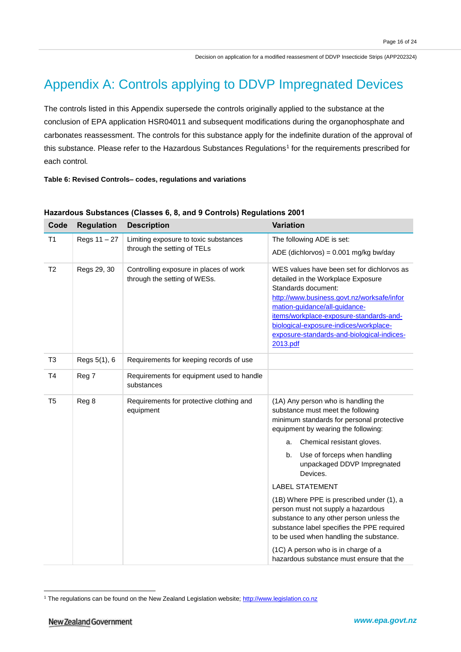# Appendix A: Controls applying to DDVP Impregnated Devices

The controls listed in this Appendix supersede the controls originally applied to the substance at the conclusion of EPA application HSR04011 and subsequent modifications during the organophosphate and carbonates reassessment. The controls for this substance apply for the indefinite duration of the approval of this substance. Please refer to the Hazardous Substances Regulations<sup>1</sup> for the requirements prescribed for each control*.*

#### **Table 6: Revised Controls– codes, regulations and variations**

| Code           | <b>Regulation</b> | <b>Description</b>                                                     | <b>Variation</b>                                                                                                                                                                                                                                                                                                                      |
|----------------|-------------------|------------------------------------------------------------------------|---------------------------------------------------------------------------------------------------------------------------------------------------------------------------------------------------------------------------------------------------------------------------------------------------------------------------------------|
| T1             | Regs 11 - 27      | Limiting exposure to toxic substances                                  | The following ADE is set:                                                                                                                                                                                                                                                                                                             |
|                |                   | through the setting of TELs                                            | ADE (dichlorvos) = $0.001$ mg/kg bw/day                                                                                                                                                                                                                                                                                               |
| T <sub>2</sub> | Regs 29, 30       | Controlling exposure in places of work<br>through the setting of WESs. | WES values have been set for dichlorvos as<br>detailed in the Workplace Exposure<br>Standards document:<br>http://www.business.govt.nz/worksafe/infor<br>mation-guidance/all-guidance-<br>items/workplace-exposure-standards-and-<br>biological-exposure-indices/workplace-<br>exposure-standards-and-biological-indices-<br>2013.pdf |
| T <sub>3</sub> | Regs 5(1), 6      | Requirements for keeping records of use                                |                                                                                                                                                                                                                                                                                                                                       |
| T <sub>4</sub> | Reg 7             | Requirements for equipment used to handle<br>substances                |                                                                                                                                                                                                                                                                                                                                       |
| T <sub>5</sub> | Reg 8             | Requirements for protective clothing and<br>equipment                  | (1A) Any person who is handling the<br>substance must meet the following<br>minimum standards for personal protective<br>equipment by wearing the following:                                                                                                                                                                          |
|                |                   |                                                                        | Chemical resistant gloves.<br>a.                                                                                                                                                                                                                                                                                                      |
|                |                   |                                                                        | Use of forceps when handling<br>b.<br>unpackaged DDVP Impregnated<br>Devices.                                                                                                                                                                                                                                                         |
|                |                   |                                                                        | <b>LABEL STATEMENT</b>                                                                                                                                                                                                                                                                                                                |
|                |                   |                                                                        | (1B) Where PPE is prescribed under (1), a<br>person must not supply a hazardous<br>substance to any other person unless the<br>substance label specifies the PPE required<br>to be used when handling the substance.                                                                                                                  |
|                |                   |                                                                        | (1C) A person who is in charge of a<br>hazardous substance must ensure that the                                                                                                                                                                                                                                                       |

### **Hazardous Substances (Classes 6, 8, and 9 Controls) Regulations 2001**

 $\overline{a}$ 

<sup>&</sup>lt;sup>1</sup> The regulations can be found on the New Zealand Legislation website[; http://www.legislation.co.nz](http://www.legislation.co.nz/)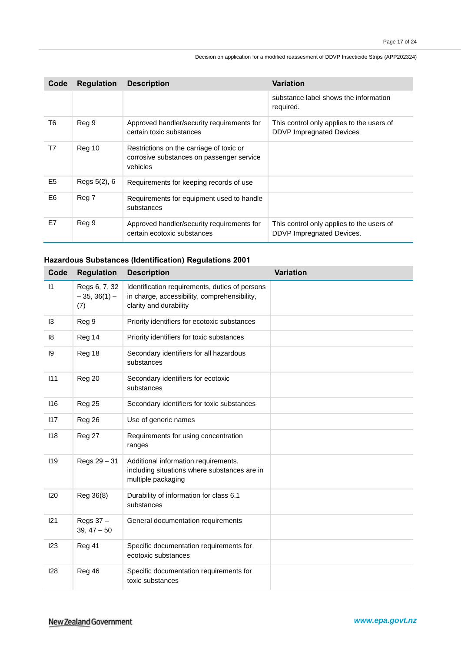| Code           | <b>Regulation</b> | <b>Description</b>                                                                                | <b>Variation</b>                                                             |
|----------------|-------------------|---------------------------------------------------------------------------------------------------|------------------------------------------------------------------------------|
|                |                   |                                                                                                   | substance label shows the information<br>required.                           |
| T6             | Reg 9             | Approved handler/security requirements for<br>certain toxic substances                            | This control only applies to the users of<br><b>DDVP Impregnated Devices</b> |
| T7             | Reg 10            | Restrictions on the carriage of toxic or<br>corrosive substances on passenger service<br>vehicles |                                                                              |
| E <sub>5</sub> | Regs 5(2), 6      | Requirements for keeping records of use                                                           |                                                                              |
| E6             | Reg 7             | Requirements for equipment used to handle<br>substances                                           |                                                                              |
| E7             | Reg 9             | Approved handler/security requirements for<br>certain ecotoxic substances                         | This control only applies to the users of<br>DDVP Impregnated Devices.       |

### **Hazardous Substances (Identification) Regulations 2001**

| Code         | <b>Regulation</b>                      | <b>Description</b>                                                                                                       | <b>Variation</b> |
|--------------|----------------------------------------|--------------------------------------------------------------------------------------------------------------------------|------------------|
| $\mathsf{I}$ | Regs 6, 7, 32<br>$-35, 36(1) -$<br>(7) | Identification requirements, duties of persons<br>in charge, accessibility, comprehensibility,<br>clarity and durability |                  |
| 13           | Reg 9                                  | Priority identifiers for ecotoxic substances                                                                             |                  |
| 8            | Reg 14                                 | Priority identifiers for toxic substances                                                                                |                  |
| 19           | Reg 18                                 | Secondary identifiers for all hazardous<br>substances                                                                    |                  |
| 111          | Reg 20                                 | Secondary identifiers for ecotoxic<br>substances                                                                         |                  |
| 116          | <b>Reg 25</b>                          | Secondary identifiers for toxic substances                                                                               |                  |
| 117          | Reg 26                                 | Use of generic names                                                                                                     |                  |
| 118          | Reg 27                                 | Requirements for using concentration<br>ranges                                                                           |                  |
| 119          | Regs 29 - 31                           | Additional information requirements,<br>including situations where substances are in<br>multiple packaging               |                  |
| 120          | Reg 36(8)                              | Durability of information for class 6.1<br>substances                                                                    |                  |
| 121          | Regs 37 -<br>$39, 47 - 50$             | General documentation requirements                                                                                       |                  |
| 123          | Reg 41                                 | Specific documentation requirements for<br>ecotoxic substances                                                           |                  |
| 128          | Reg 46                                 | Specific documentation requirements for<br>toxic substances                                                              |                  |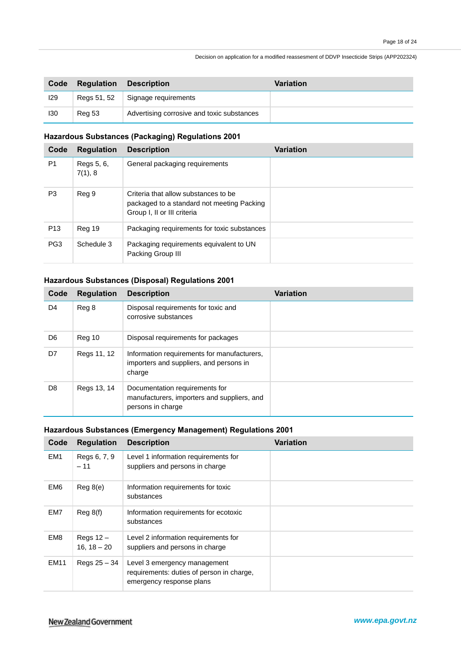| Code | Regulation    | <b>Description</b>                         | <b>Variation</b> |
|------|---------------|--------------------------------------------|------------------|
| 129  | Regs 51, 52   | Signage requirements                       |                  |
| 130  | <b>Reg 53</b> | Advertising corrosive and toxic substances |                  |

### **Hazardous Substances (Packaging) Regulations 2001**

| Code            | <b>Regulation</b>     | <b>Description</b>                                                                                                | <b>Variation</b> |
|-----------------|-----------------------|-------------------------------------------------------------------------------------------------------------------|------------------|
| P <sub>1</sub>  | Regs 5, 6,<br>7(1), 8 | General packaging requirements                                                                                    |                  |
| P <sub>3</sub>  | Reg 9                 | Criteria that allow substances to be<br>packaged to a standard not meeting Packing<br>Group I, II or III criteria |                  |
| P <sub>13</sub> | Reg 19                | Packaging requirements for toxic substances                                                                       |                  |
| PG <sub>3</sub> | Schedule 3            | Packaging requirements equivalent to UN<br>Packing Group III                                                      |                  |

### **Hazardous Substances (Disposal) Regulations 2001**

| Code | <b>Regulation</b> | <b>Description</b>                                                                                 | <b>Variation</b> |
|------|-------------------|----------------------------------------------------------------------------------------------------|------------------|
| D4   | Reg 8             | Disposal requirements for toxic and<br>corrosive substances                                        |                  |
| D6   | Reg 10            | Disposal requirements for packages                                                                 |                  |
| D7   | Regs 11, 12       | Information requirements for manufacturers,<br>importers and suppliers, and persons in<br>charge   |                  |
| D8   | Regs 13, 14       | Documentation requirements for<br>manufacturers, importers and suppliers, and<br>persons in charge |                  |

### **Hazardous Substances (Emergency Management) Regulations 2001**

| Code            | <b>Regulation</b>            | <b>Description</b>                                                                                    | <b>Variation</b> |
|-----------------|------------------------------|-------------------------------------------------------------------------------------------------------|------------------|
| EM <sub>1</sub> | Regs 6, 7, 9<br>$-11$        | Level 1 information requirements for<br>suppliers and persons in charge                               |                  |
| EM <sub>6</sub> | Reg 8(e)                     | Information requirements for toxic<br>substances                                                      |                  |
| EM7             | Reg 8(f)                     | Information requirements for ecotoxic<br>substances                                                   |                  |
| EM <sub>8</sub> | Regs $12 -$<br>$16, 18 - 20$ | Level 2 information requirements for<br>suppliers and persons in charge                               |                  |
| <b>EM11</b>     | Regs $25 - 34$               | Level 3 emergency management<br>requirements: duties of person in charge,<br>emergency response plans |                  |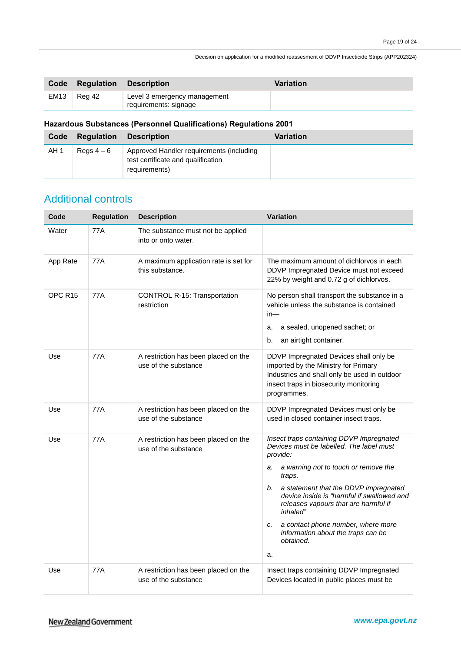| Code        | Regulation | <b>Description</b>                                    | Variation |
|-------------|------------|-------------------------------------------------------|-----------|
| <b>EM13</b> | Rea 42     | Level 3 emergency management<br>requirements: signage |           |

### **Hazardous Substances (Personnel Qualifications) Regulations 2001**

| Code | Regulation | <b>Description</b>                                                                              | Variation |
|------|------------|-------------------------------------------------------------------------------------------------|-----------|
| AH 1 | Reas $4-6$ | Approved Handler requirements (including<br>test certificate and qualification<br>requirements) |           |

## Additional controls

| Code               | <b>Regulation</b> | <b>Description</b>                                           | <b>Variation</b>                                                                                                                                                                                                                                                                                                                                                                                               |
|--------------------|-------------------|--------------------------------------------------------------|----------------------------------------------------------------------------------------------------------------------------------------------------------------------------------------------------------------------------------------------------------------------------------------------------------------------------------------------------------------------------------------------------------------|
| Water              | 77A               | The substance must not be applied<br>into or onto water.     |                                                                                                                                                                                                                                                                                                                                                                                                                |
| App Rate           | 77A               | A maximum application rate is set for<br>this substance.     | The maximum amount of dichlorvos in each<br>DDVP Impregnated Device must not exceed<br>22% by weight and 0.72 g of dichlorvos.                                                                                                                                                                                                                                                                                 |
| OPC <sub>R15</sub> | 77A               | <b>CONTROL R-15: Transportation</b><br>restriction           | No person shall transport the substance in a<br>vehicle unless the substance is contained<br>$in-$<br>a sealed, unopened sachet; or<br>a.<br>an airtight container.<br>b.                                                                                                                                                                                                                                      |
| Use                | 77A               | A restriction has been placed on the<br>use of the substance | DDVP Impregnated Devices shall only be<br>imported by the Ministry for Primary<br>Industries and shall only be used in outdoor<br>insect traps in biosecurity monitoring<br>programmes.                                                                                                                                                                                                                        |
| Use                | 77A               | A restriction has been placed on the<br>use of the substance | DDVP Impregnated Devices must only be<br>used in closed container insect traps.                                                                                                                                                                                                                                                                                                                                |
| Use                | 77A               | A restriction has been placed on the<br>use of the substance | Insect traps containing DDVP Impregnated<br>Devices must be labelled. The label must<br>provide:<br>a warning not to touch or remove the<br>a.<br>traps,<br>a statement that the DDVP impregnated<br>b.<br>device inside is "harmful if swallowed and<br>releases vapours that are harmful if<br>inhaled"<br>a contact phone number, where more<br>c.<br>information about the traps can be<br>obtained.<br>a. |
| Use                | 77A               | A restriction has been placed on the<br>use of the substance | Insect traps containing DDVP Impregnated<br>Devices located in public places must be                                                                                                                                                                                                                                                                                                                           |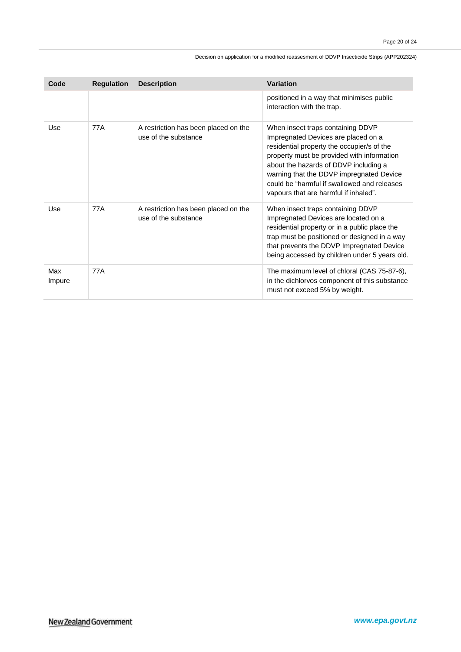| Code          | <b>Regulation</b> | <b>Description</b>                                           | <b>Variation</b>                                                                                                                                                                                                                                                                                                                                  |
|---------------|-------------------|--------------------------------------------------------------|---------------------------------------------------------------------------------------------------------------------------------------------------------------------------------------------------------------------------------------------------------------------------------------------------------------------------------------------------|
|               |                   |                                                              | positioned in a way that minimises public<br>interaction with the trap.                                                                                                                                                                                                                                                                           |
| Use           | 77A               | A restriction has been placed on the<br>use of the substance | When insect traps containing DDVP<br>Impregnated Devices are placed on a<br>residential property the occupier/s of the<br>property must be provided with information<br>about the hazards of DDVP including a<br>warning that the DDVP impregnated Device<br>could be "harmful if swallowed and releases<br>vapours that are harmful if inhaled". |
| Use           | <b>77A</b>        | A restriction has been placed on the<br>use of the substance | When insect traps containing DDVP<br>Impregnated Devices are located on a<br>residential property or in a public place the<br>trap must be positioned or designed in a way<br>that prevents the DDVP Impregnated Device<br>being accessed by children under 5 years old.                                                                          |
| Max<br>Impure | 77A               |                                                              | The maximum level of chloral (CAS 75-87-6),<br>in the dichlorvos component of this substance<br>must not exceed 5% by weight.                                                                                                                                                                                                                     |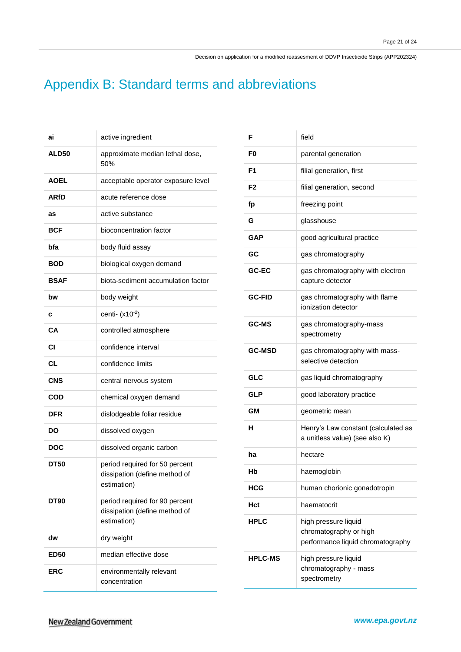# Appendix B: Standard terms and abbreviations

| ai           | active ingredient                                                              |
|--------------|--------------------------------------------------------------------------------|
| <b>ALD50</b> | approximate median lethal dose,<br>50%                                         |
| <b>AOEL</b>  | acceptable operator exposure level                                             |
| <b>ARfD</b>  | acute reference dose                                                           |
| as           | active substance                                                               |
| <b>BCF</b>   | bioconcentration factor                                                        |
| bfa          | body fluid assay                                                               |
| <b>BOD</b>   | biological oxygen demand                                                       |
| <b>BSAF</b>  | biota-sediment accumulation factor                                             |
| bw           | body weight                                                                    |
| с            | centi- $(x10^{-2})$                                                            |
| CА           | controlled atmosphere                                                          |
| СI           | confidence interval                                                            |
| <b>CL</b>    | confidence limits                                                              |
| <b>CNS</b>   | central nervous system                                                         |
| COD          | chemical oxygen demand                                                         |
| <b>DFR</b>   | dislodgeable foliar residue                                                    |
| DO           | dissolved oxygen                                                               |
| <b>DOC</b>   | dissolved organic carbon                                                       |
| <b>DT50</b>  | period required for 50 percent<br>dissipation (define method of<br>estimation) |
| <b>DT90</b>  | period required for 90 percent<br>dissipation (define method of<br>estimation) |
| dw           | dry weight                                                                     |
| <b>ED50</b>  | median effective dose                                                          |
| <b>ERC</b>   | environmentally relevant<br>concentration                                      |

| F              | field                                                                               |
|----------------|-------------------------------------------------------------------------------------|
| F0             | parental generation                                                                 |
| F1             | filial generation, first                                                            |
| F2             | filial generation, second                                                           |
| fp             | freezing point                                                                      |
| G              | glasshouse                                                                          |
| <b>GAP</b>     | good agricultural practice                                                          |
| GC             | gas chromatography                                                                  |
| GC-EC          | gas chromatography with electron<br>capture detector                                |
| <b>GC-FID</b>  | gas chromatography with flame<br>ionization detector                                |
| <b>GC-MS</b>   | gas chromatography-mass<br>spectrometry                                             |
| <b>GC-MSD</b>  | gas chromatography with mass-<br>selective detection                                |
| GLC            | gas liquid chromatography                                                           |
| GLP            | good laboratory practice                                                            |
| GМ             | geometric mean                                                                      |
| н              | Henry's Law constant (calculated as<br>a unitless value) (see also K)               |
| ha             | hectare                                                                             |
| Нb             | haemoglobin                                                                         |
| HCG            | human chorionic gonadotropin                                                        |
| Hct            | haematocrit                                                                         |
| <b>HPLC</b>    | high pressure liquid<br>chromatography or high<br>performance liquid chromatography |
| <b>HPLC-MS</b> | high pressure liquid<br>chromatography - mass<br>spectrometry                       |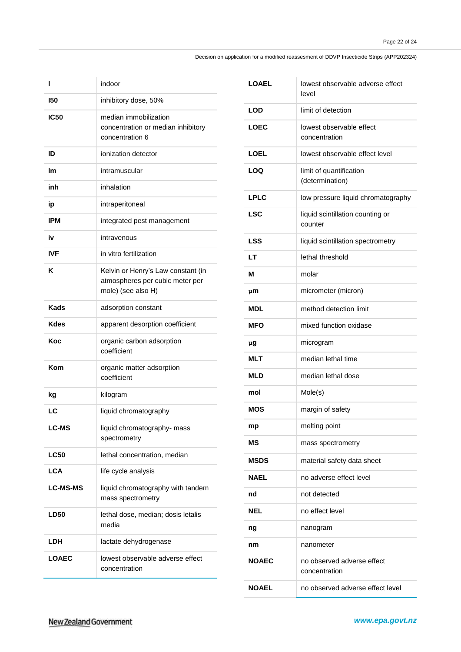| ı               | indoor                                                                                      |
|-----------------|---------------------------------------------------------------------------------------------|
| 150             | inhibitory dose, 50%                                                                        |
| <b>IC50</b>     | median immobilization<br>concentration or median inhibitory<br>concentration 6              |
| ID              | ionization detector                                                                         |
| Im              | intramuscular                                                                               |
| inh             | inhalation                                                                                  |
| ip              | intraperitoneal                                                                             |
| IPM             | integrated pest management                                                                  |
| iv              | intravenous                                                                                 |
| <b>IVF</b>      | in vitro fertilization                                                                      |
| κ               | Kelvin or Henry's Law constant (in<br>atmospheres per cubic meter per<br>mole) (see also H) |
| Kads            | adsorption constant                                                                         |
| Kdes            | apparent desorption coefficient                                                             |
| Koc             | organic carbon adsorption<br>coefficient                                                    |
| Kom             | organic matter adsorption<br>coefficient                                                    |
| kg              | kilogram                                                                                    |
| LC              | liquid chromatography                                                                       |
| LC-MS           | liquid chromatography- mass<br>spectrometry                                                 |
| <b>LC50</b>     | lethal concentration, median                                                                |
| <b>LCA</b>      | life cycle analysis                                                                         |
| <b>LC-MS-MS</b> | liquid chromatography with tandem<br>mass spectrometry                                      |
| <b>LD50</b>     | lethal dose, median; dosis letalis<br>media                                                 |
| LDH             | lactate dehydrogenase                                                                       |
| <b>LOAEC</b>    | lowest observable adverse effect<br>concentration                                           |

| LOAEL        | lowest observable adverse effect<br>level   |
|--------------|---------------------------------------------|
| LOD          | limit of detection                          |
| LOEC         | lowest observable effect<br>concentration   |
| LOEL         | lowest observable effect level              |
| I OQ         | limit of quantification<br>(determination)  |
| <b>LPLC</b>  | low pressure liquid chromatography          |
| <b>LSC</b>   | liquid scintillation counting or<br>counter |
| LSS          | liquid scintillation spectrometry           |
| LT           | lethal threshold                            |
| м            | molar                                       |
| րm           | micrometer (micron)                         |
| MDL          | method detection limit                      |
| <b>MFO</b>   | mixed function oxidase                      |
| րց           | microgram                                   |
| <b>MLT</b>   | median lethal time                          |
| MLD          | median lethal dose                          |
| mol          | Mole(s)                                     |
| MOS          | margin of safety                            |
| mp           | melting point                               |
| ΜS           | mass spectrometry                           |
| <b>MSDS</b>  | material safety data sheet                  |
| <b>NAEL</b>  | no adverse effect level                     |
| nd           | not detected                                |
| NEL          | no effect level                             |
| ng           | nanogram                                    |
| nm           | nanometer                                   |
| NOAEC        | no observed adverse effect<br>concentration |
| <b>NOAEL</b> | no observed adverse effect level            |